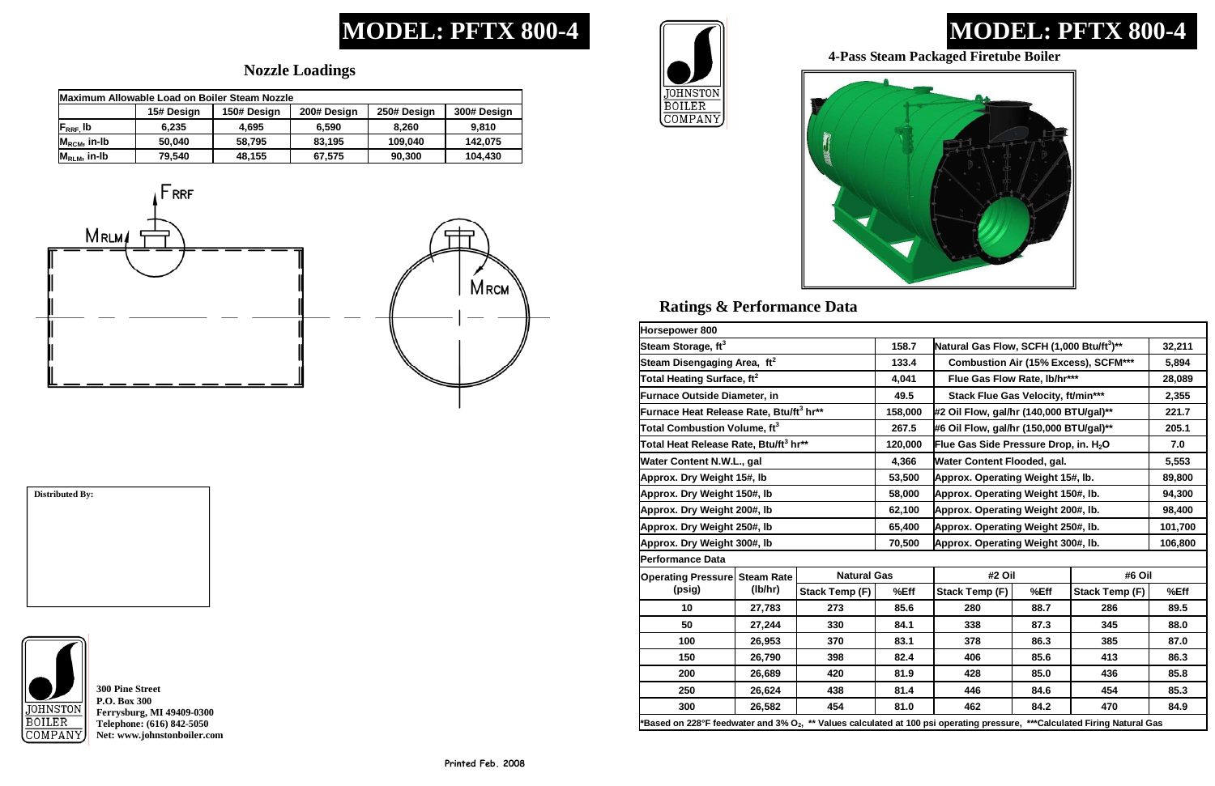# **MODEL: PFTX 800-4**

## **Ratings & Performance Data**

# **MODEL: PFTX 800-4**

### **Nozzle Loadings**

**300 Pine Street P.O. Box 300 Ferrysburg, MI 49409-0300 Telephone: (616) 842-5050 Net: www.johnstonboiler.com** 





## **Distributed By:**



### **4-Pass Steam Packaged Firetube Boiler**

| Maximum Allowable Load on Boiler Steam Nozzle |            |             |             |             |             |  |
|-----------------------------------------------|------------|-------------|-------------|-------------|-------------|--|
|                                               | 15# Design | 150# Design | 200# Design | 250# Design | 300# Design |  |
| $F_{RRF}$ , lb                                | 6.235      | 4.695       | 6.590       | 8.260       | 9.810       |  |
| $M_{\text{RCM}}$ , in-Ib                      | 50,040     | 58,795      | 83,195      | 109,040     | 142,075     |  |
| $M_{RLM}$ , in-lb                             | 79,540     | 48,155      | 67,575      | 90,300      | 104,430     |  |





| Horsepower 800                                                                                                                         |         |                       |         |                                                       |      |                       |         |
|----------------------------------------------------------------------------------------------------------------------------------------|---------|-----------------------|---------|-------------------------------------------------------|------|-----------------------|---------|
| Steam Storage, ft <sup>3</sup>                                                                                                         |         |                       | 158.7   | Natural Gas Flow, SCFH (1,000 Btu/ft <sup>3</sup> )** |      |                       | 32,211  |
| Steam Disengaging Area, ft <sup>2</sup>                                                                                                |         |                       | 133.4   | <b>Combustion Air (15% Excess), SCFM***</b>           |      |                       | 5,894   |
| Total Heating Surface, ft <sup>2</sup>                                                                                                 |         |                       | 4,041   | Flue Gas Flow Rate, lb/hr***                          |      |                       | 28,089  |
| Furnace Outside Diameter, in                                                                                                           |         |                       | 49.5    | Stack Flue Gas Velocity, ft/min***                    |      |                       | 2,355   |
| Furnace Heat Release Rate, Btu/ft <sup>3</sup> hr**                                                                                    |         |                       | 158,000 | #2 Oil Flow, gal/hr (140,000 BTU/gal)**               |      |                       | 221.7   |
| Total Combustion Volume, ft <sup>3</sup>                                                                                               |         |                       | 267.5   | #6 Oil Flow, gal/hr (150,000 BTU/gal)**               |      |                       | 205.1   |
| Total Heat Release Rate, Btu/ft <sup>3</sup> hr**                                                                                      |         |                       | 120,000 | Flue Gas Side Pressure Drop, in. H <sub>2</sub> O     |      |                       | 7.0     |
| Water Content N.W.L., gal                                                                                                              |         |                       | 4,366   | Water Content Flooded, gal.                           |      |                       | 5,553   |
| Approx. Dry Weight 15#, lb                                                                                                             |         |                       | 53,500  | Approx. Operating Weight 15#, lb.                     |      |                       | 89,800  |
| Approx. Dry Weight 150#, lb                                                                                                            |         |                       | 58,000  | Approx. Operating Weight 150#, lb.                    |      |                       | 94,300  |
| Approx. Dry Weight 200#, lb                                                                                                            |         |                       | 62,100  | Approx. Operating Weight 200#, lb.                    |      |                       | 98,400  |
| Approx. Dry Weight 250#, lb                                                                                                            |         |                       | 65,400  | Approx. Operating Weight 250#, lb.                    |      |                       | 101,700 |
| Approx. Dry Weight 300#, lb                                                                                                            |         |                       | 70,500  | Approx. Operating Weight 300#, lb.                    |      |                       | 106,800 |
| <b>Performance Data</b>                                                                                                                |         |                       |         |                                                       |      |                       |         |
| <b>Operating Pressure Steam Rate</b>                                                                                                   | (lb/hr) | <b>Natural Gas</b>    |         | #2 Oil                                                |      | #6 Oil                |         |
| (psig)                                                                                                                                 |         | <b>Stack Temp (F)</b> | %Eff    | Stack Temp (F)                                        | %Eff | <b>Stack Temp (F)</b> | %Eff    |
| 10                                                                                                                                     | 27,783  | 273                   | 85.6    | 280                                                   | 88.7 | 286                   | 89.5    |
| 50                                                                                                                                     | 27,244  | 330                   | 84.1    | 338                                                   | 87.3 | 345                   | 88.0    |
| 100                                                                                                                                    | 26,953  | 370                   | 83.1    | 378                                                   | 86.3 | 385                   | 87.0    |
| 150                                                                                                                                    | 26,790  | 398                   | 82.4    | 406                                                   | 85.6 | 413                   | 86.3    |
| 200                                                                                                                                    | 26,689  | 420                   | 81.9    | 428                                                   | 85.0 | 436                   | 85.8    |
| 250                                                                                                                                    | 26,624  | 438                   | 81.4    | 446                                                   | 84.6 | 454                   | 85.3    |
| 300                                                                                                                                    | 26,582  | 454                   | 81.0    | 462                                                   | 84.2 | 470                   | 84.9    |
| 'Based on 228°F feedwater and 3% O <sub>2</sub> , ** Values calculated at 100 psi operating pressure, ***Calculated Firing Natural Gas |         |                       |         |                                                       |      |                       |         |